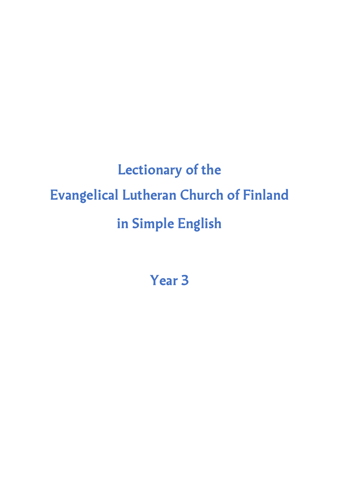# **Lectionary of the Evangelical Lutheran Church of Finland in Simple English**

**Year 3**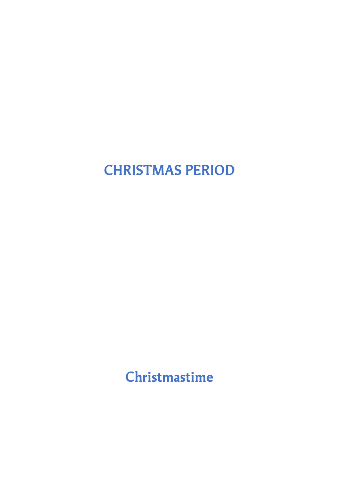# **CHRISTMAS PERIOD**

**Christmastime**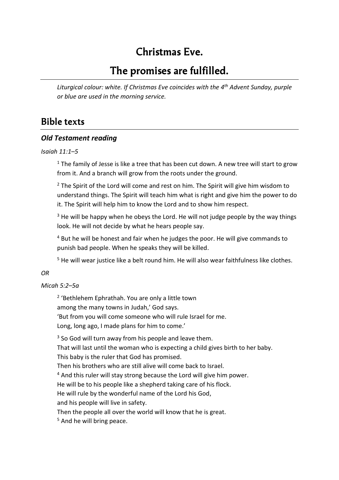# **Christmas Eve.**

# **The promises are fulfilled.**

*Liturgical colour: white. If Christmas Eve coincides with the 4 th Advent Sunday, purple or blue are used in the morning service.*

### **Bible texts**

### *Old Testament reading*

### *Isaiah 11:1–5*

 $1$  The family of Jesse is like a tree that has been cut down. A new tree will start to grow from it. And a branch will grow from the roots under the ground.

 $2$  The Spirit of the Lord will come and rest on him. The Spirit will give him wisdom to understand things. The Spirit will teach him what is right and give him the power to do it. The Spirit will help him to know the Lord and to show him respect.

<sup>3</sup> He will be happy when he obeys the Lord. He will not judge people by the way things look. He will not decide by what he hears people say.

<sup>4</sup> But he will be honest and fair when he judges the poor. He will give commands to punish bad people. When he speaks they will be killed.

<sup>5</sup> He will wear justice like a belt round him. He will also wear faithfulness like clothes.

### *OR*

### *Micah 5:2–5a*

2 'Bethlehem Ephrathah. You are only a little town among the many towns in Judah,' God says. 'But from you will come someone who will rule Israel for me. Long, long ago, I made plans for him to come.'

 $3$  So God will turn away from his people and leave them. That will last until the woman who is expecting a child gives birth to her baby. This baby is the ruler that God has promised.

Then his brothers who are still alive will come back to Israel.

<sup>4</sup> And this ruler will stay strong because the Lord will give him power.

He will be to his people like a shepherd taking care of his flock.

He will rule by the wonderful name of the Lord his God,

and his people will live in safety.

Then the people all over the world will know that he is great.

<sup>5</sup> And he will bring peace.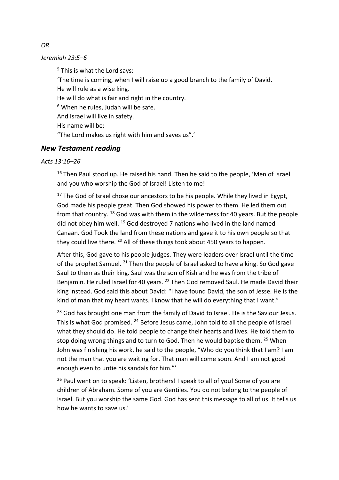#### *Jeremiah 23:5–6*

 $5$  This is what the Lord says:

'The time is coming, when I will raise up a good branch to the family of David. He will rule as a wise king. He will do what is fair and right in the country.  $6$  When he rules, Judah will be safe. And Israel will live in safety. His name will be: "The Lord makes us right with him and saves us".'

### *New Testament reading*

#### *Acts 13:16–26*

 $16$  Then Paul stood up. He raised his hand. Then he said to the people, 'Men of Israel and you who worship the God of Israel! Listen to me!

 $17$  The God of Israel chose our ancestors to be his people. While they lived in Egypt, God made his people great. Then God showed his power to them. He led them out from that country. <sup>18</sup> God was with them in the wilderness for 40 years. But the people did not obey him well. <sup>19</sup> God destroyed 7 nations who lived in the land named Canaan. God Took the land from these nations and gave it to his own people so that they could live there. <sup>20</sup> All of these things took about 450 years to happen.

After this, God gave to his people judges. They were leaders over Israel until the time of the prophet Samuel. <sup>21</sup> Then the people of Israel asked to have a king. So God gave Saul to them as their king. Saul was the son of Kish and he was from the tribe of Benjamin. He ruled Israel for 40 years. <sup>22</sup> Then God removed Saul. He made David their king instead. God said this about David: "I have found David, the son of Jesse. He is the kind of man that my heart wants. I know that he will do everything that I want."

<sup>23</sup> God has brought one man from the family of David to Israel. He is the Saviour Jesus. This is what God promised. <sup>24</sup> Before Jesus came, John told to all the people of Israel what they should do. He told people to change their hearts and lives. He told them to stop doing wrong things and to turn to God. Then he would baptise them. <sup>25</sup> When John was finishing his work, he said to the people, "Who do you think that I am? I am not the man that you are waiting for. That man will come soon. And I am not good enough even to untie his sandals for him."'

<sup>26</sup> Paul went on to speak: 'Listen, brothers! I speak to all of you! Some of you are children of Abraham. Some of you are Gentiles. You do not belong to the people of Israel. But you worship the same God. God has sent this message to all of us. It tells us how he wants to save us.'

*OR*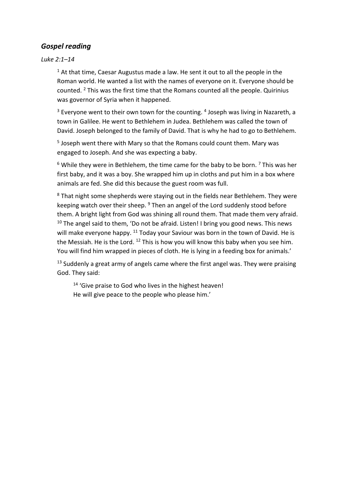### *Gospel reading*

*Luke 2:1–14*

 $1$  At that time, Caesar Augustus made a law. He sent it out to all the people in the Roman world. He wanted a list with the names of everyone on it. Everyone should be counted. <sup>2</sup> This was the first time that the Romans counted all the people. Quirinius was governor of Syria when it happened.

 $3$  Everyone went to their own town for the counting.  $4$  Joseph was living in Nazareth, a town in Galilee. He went to Bethlehem in Judea. Bethlehem was called the town of David. Joseph belonged to the family of David. That is why he had to go to Bethlehem.

<sup>5</sup> Joseph went there with Mary so that the Romans could count them. Mary was engaged to Joseph. And she was expecting a baby.

 $6$  While they were in Bethlehem, the time came for the baby to be born.  $7$  This was her first baby, and it was a boy. She wrapped him up in cloths and put him in a box where animals are fed. She did this because the guest room was full.

<sup>8</sup> That night some shepherds were staying out in the fields near Bethlehem. They were keeping watch over their sheep. <sup>9</sup> Then an angel of the Lord suddenly stood before them. A bright light from God was shining all round them. That made them very afraid.  $10$  The angel said to them, 'Do not be afraid. Listen! I bring you good news. This news will make everyone happy. <sup>11</sup> Today your Saviour was born in the town of David. He is the Messiah. He is the Lord.  $12$  This is how you will know this baby when you see him. You will find him wrapped in pieces of cloth. He is lying in a feeding box for animals.'

 $13$  Suddenly a great army of angels came where the first angel was. They were praising God. They said:

<sup>14</sup> 'Give praise to God who lives in the highest heaven! He will give peace to the people who please him.'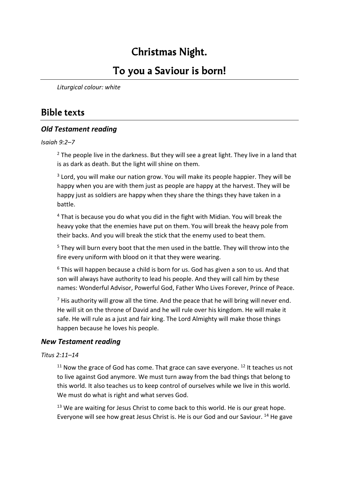# **Christmas Night.**

# **To you a Saviour is born!**

*Liturgical colour: white*

### **Bible texts**

### *Old Testament reading*

### *Isaiah 9:2–7*

 $2$  The people live in the darkness. But they will see a great light. They live in a land that is as dark as death. But the light will shine on them.

<sup>3</sup> Lord, you will make our nation grow. You will make its people happier. They will be happy when you are with them just as people are happy at the harvest. They will be happy just as soldiers are happy when they share the things they have taken in a battle.

<sup>4</sup> That is because you do what you did in the fight with Midian. You will break the heavy yoke that the enemies have put on them. You will break the heavy pole from their backs. And you will break the stick that the enemy used to beat them.

<sup>5</sup> They will burn every boot that the men used in the battle. They will throw into the fire every uniform with blood on it that they were wearing.

<sup>6</sup> This will happen because a child is born for us. God has given a son to us. And that son will always have authority to lead his people. And they will call him by these names: Wonderful Advisor, Powerful God, Father Who Lives Forever, Prince of Peace.

 $<sup>7</sup>$  His authority will grow all the time. And the peace that he will bring will never end.</sup> He will sit on the throne of David and he will rule over his kingdom. He will make it safe. He will rule as a just and fair king. The Lord Almighty will make those things happen because he loves his people.

### *New Testament reading*

### *Titus 2:11–14*

 $11$  Now the grace of God has come. That grace can save everyone.  $12$  It teaches us not to live against God anymore. We must turn away from the bad things that belong to this world. It also teaches us to keep control of ourselves while we live in this world. We must do what is right and what serves God.

 $13$  We are waiting for Jesus Christ to come back to this world. He is our great hope. Everyone will see how great Jesus Christ is. He is our God and our Saviour. <sup>14</sup> He gave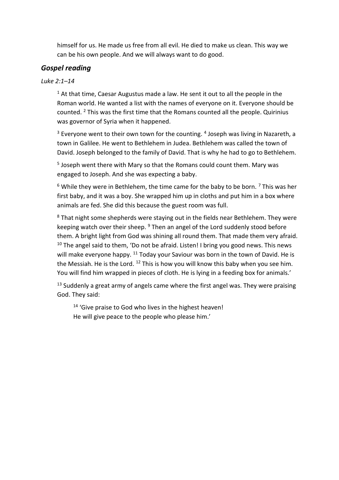himself for us. He made us free from all evil. He died to make us clean. This way we can be his own people. And we will always want to do good.

### *Gospel reading*

### *Luke 2:1–14*

 $1$  At that time, Caesar Augustus made a law. He sent it out to all the people in the Roman world. He wanted a list with the names of everyone on it. Everyone should be counted.  $2$  This was the first time that the Romans counted all the people. Quirinius was governor of Syria when it happened.

 $3$  Everyone went to their own town for the counting.  $4$  Joseph was living in Nazareth, a town in Galilee. He went to Bethlehem in Judea. Bethlehem was called the town of David. Joseph belonged to the family of David. That is why he had to go to Bethlehem.

5 Joseph went there with Mary so that the Romans could count them. Mary was engaged to Joseph. And she was expecting a baby.

 $6$  While they were in Bethlehem, the time came for the baby to be born.  $7$  This was her first baby, and it was a boy. She wrapped him up in cloths and put him in a box where animals are fed. She did this because the guest room was full.

 $8$  That night some shepherds were staying out in the fields near Bethlehem. They were keeping watch over their sheep. <sup>9</sup> Then an angel of the Lord suddenly stood before them. A bright light from God was shining all round them. That made them very afraid.  $10$  The angel said to them, 'Do not be afraid. Listen! I bring you good news. This news will make everyone happy. <sup>11</sup> Today your Saviour was born in the town of David. He is the Messiah. He is the Lord.  $12$  This is how you will know this baby when you see him. You will find him wrapped in pieces of cloth. He is lying in a feeding box for animals.'

<sup>13</sup> Suddenly a great army of angels came where the first angel was. They were praising God. They said:

<sup>14</sup> 'Give praise to God who lives in the highest heaven! He will give peace to the people who please him.'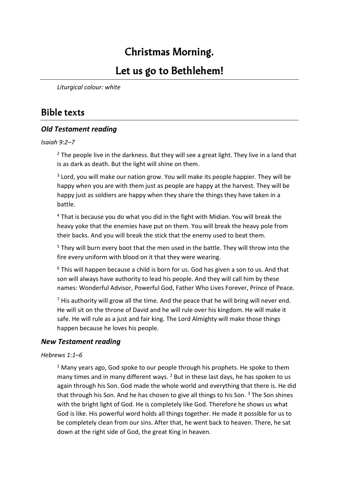# **Christmas Morning.**

### **Let us go to Bethlehem!**

*Liturgical colour: white*

### **Bible texts**

### *Old Testament reading*

#### *Isaiah 9:2–7*

 $2$  The people live in the darkness. But they will see a great light. They live in a land that is as dark as death. But the light will shine on them.

<sup>3</sup> Lord, you will make our nation grow. You will make its people happier. They will be happy when you are with them just as people are happy at the harvest. They will be happy just as soldiers are happy when they share the things they have taken in a battle.

 $4$  That is because you do what you did in the fight with Midian. You will break the heavy yoke that the enemies have put on them. You will break the heavy pole from their backs. And you will break the stick that the enemy used to beat them.

<sup>5</sup> They will burn every boot that the men used in the battle. They will throw into the fire every uniform with blood on it that they were wearing.

<sup>6</sup> This will happen because a child is born for us. God has given a son to us. And that son will always have authority to lead his people. And they will call him by these names: Wonderful Advisor, Powerful God, Father Who Lives Forever, Prince of Peace.

 $<sup>7</sup>$  His authority will grow all the time. And the peace that he will bring will never end.</sup> He will sit on the throne of David and he will rule over his kingdom. He will make it safe. He will rule as a just and fair king. The Lord Almighty will make those things happen because he loves his people.

### *New Testament reading*

#### *Hebrews 1:1–6*

 $1$  Many years ago, God spoke to our people through his prophets. He spoke to them many times and in many different ways.  $2$  But in these last days, he has spoken to us again through his Son. God made the whole world and everything that there is. He did that through his Son. And he has chosen to give all things to his Son. <sup>3</sup> The Son shines with the bright light of God. He is completely like God. Therefore he shows us what God is like. His powerful word holds all things together. He made it possible for us to be completely clean from our sins. After that, he went back to heaven. There, he sat down at the right side of God, the great King in heaven.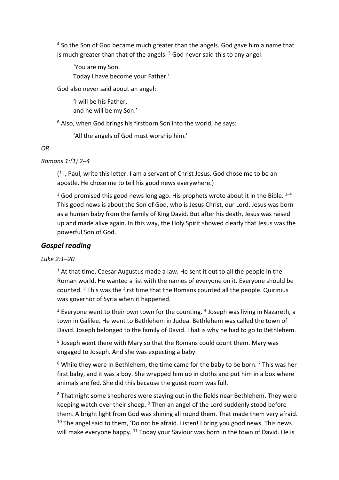<sup>4</sup> So the Son of God became much greater than the angels. God gave him a name that is much greater than that of the angels. <sup>5</sup> God never said this to any angel:

'You are my Son. Today I have become your Father.'

God also never said about an angel:

'I will be his Father, and he will be my Son.'

 $6$  Also, when God brings his firstborn Son into the world, he says:

'All the angels of God must worship him.'

*OR*

### *Romans 1:(1) 2–4*

( 1 I, Paul, write this letter. I am a servant of Christ Jesus. God chose me to be an apostle. He chose me to tell his good news everywhere.)

 $2$  God promised this good news long ago. His prophets wrote about it in the Bible.  $3-4$ This good news is about the Son of God, who is Jesus Christ, our Lord. Jesus was born as a human baby from the family of King David. But after his death, Jesus was raised up and made alive again. In this way, the Holy Spirit showed clearly that Jesus was the powerful Son of God.

### *Gospel reading*

### *Luke 2:1–20*

 $1$  At that time, Caesar Augustus made a law. He sent it out to all the people in the Roman world. He wanted a list with the names of everyone on it. Everyone should be counted. <sup>2</sup> This was the first time that the Romans counted all the people. Quirinius was governor of Syria when it happened.

 $3$  Everyone went to their own town for the counting.  $4$  Joseph was living in Nazareth, a town in Galilee. He went to Bethlehem in Judea. Bethlehem was called the town of David. Joseph belonged to the family of David. That is why he had to go to Bethlehem.

5 Joseph went there with Mary so that the Romans could count them. Mary was engaged to Joseph. And she was expecting a baby.

 $6$  While they were in Bethlehem, the time came for the baby to be born.  $7$  This was her first baby, and it was a boy. She wrapped him up in cloths and put him in a box where animals are fed. She did this because the guest room was full.

<sup>8</sup> That night some shepherds were staying out in the fields near Bethlehem. They were keeping watch over their sheep. <sup>9</sup> Then an angel of the Lord suddenly stood before them. A bright light from God was shining all round them. That made them very afraid.  $10$  The angel said to them, 'Do not be afraid. Listen! I bring you good news. This news will make everyone happy. <sup>11</sup> Today your Saviour was born in the town of David. He is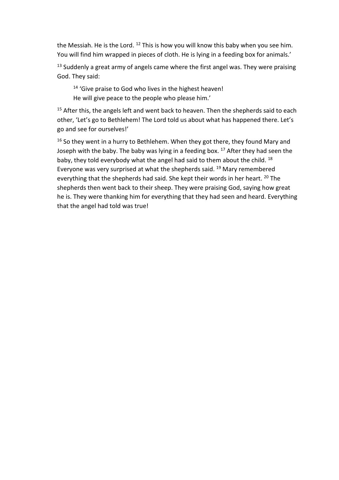the Messiah. He is the Lord.  $12$  This is how you will know this baby when you see him. You will find him wrapped in pieces of cloth. He is lying in a feeding box for animals.'

 $13$  Suddenly a great army of angels came where the first angel was. They were praising God. They said:

<sup>14</sup> 'Give praise to God who lives in the highest heaven! He will give peace to the people who please him.'

<sup>15</sup> After this, the angels left and went back to heaven. Then the shepherds said to each other, 'Let's go to Bethlehem! The Lord told us about what has happened there. Let's go and see for ourselves!'

 $16$  So they went in a hurry to Bethlehem. When they got there, they found Mary and Joseph with the baby. The baby was lying in a feeding box.  $17$  After they had seen the baby, they told everybody what the angel had said to them about the child. 18 Everyone was very surprised at what the shepherds said. <sup>19</sup> Mary remembered everything that the shepherds had said. She kept their words in her heart. <sup>20</sup> The shepherds then went back to their sheep. They were praising God, saying how great he is. They were thanking him for everything that they had seen and heard. Everything that the angel had told was true!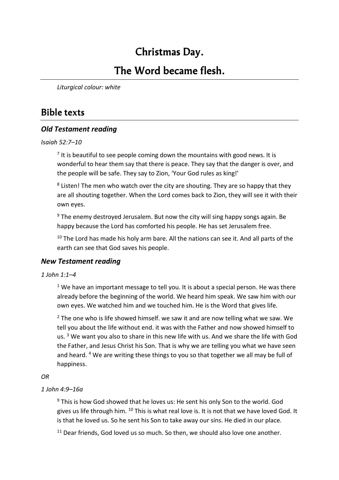# **Christmas Day.**

### **The Word became flesh.**

*Liturgical colour: white*

### **Bible texts**

### *Old Testament reading*

*Isaiah 52:7–10*

 $<sup>7</sup>$  It is beautiful to see people coming down the mountains with good news. It is</sup> wonderful to hear them say that there is peace. They say that the danger is over, and the people will be safe. They say to Zion, 'Your God rules as king!'

<sup>8</sup> Listen! The men who watch over the city are shouting. They are so happy that they are all shouting together. When the Lord comes back to Zion, they will see it with their own eyes.

 $9$  The enemy destroyed Jerusalem. But now the city will sing happy songs again. Be happy because the Lord has comforted his people. He has set Jerusalem free.

 $10$  The Lord has made his holy arm bare. All the nations can see it. And all parts of the earth can see that God saves his people.

### *New Testament reading*

#### *1 John 1:1–4*

 $1$  We have an important message to tell you. It is about a special person. He was there already before the beginning of the world. We heard him speak. We saw him with our own eyes. We watched him and we touched him. He is the Word that gives life.

 $2$  The one who is life showed himself. we saw it and are now telling what we saw. We tell you about the life without end. it was with the Father and now showed himself to us.<sup>3</sup> We want you also to share in this new life with us. And we share the life with God the Father, and Jesus Christ his Son. That is why we are telling you what we have seen and heard. <sup>4</sup> We are writing these things to you so that together we all may be full of happiness.

### *OR*

### *1 John 4:9–16a*

 $9$  This is how God showed that he loves us: He sent his only Son to the world. God gives us life through him. <sup>10</sup> This is what real love is. It is not that we have loved God. It is that he loved us. So he sent his Son to take away our sins. He died in our place.

 $11$  Dear friends, God loved us so much. So then, we should also love one another.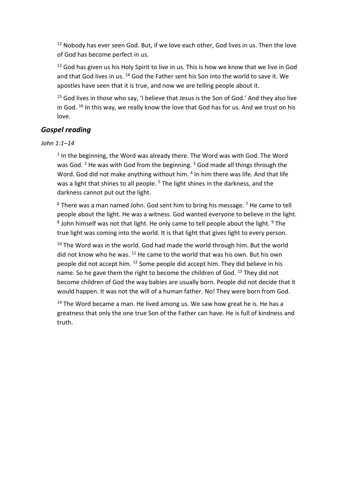$12$  Nobody has ever seen God. But, if we love each other, God lives in us. Then the love of God has become perfect in us.

 $13$  God has given us his Holy Spirit to live in us. This is how we know that we live in God and that God lives in us. <sup>14</sup> God the Father sent his Son into the world to save it. We apostles have seen that it is true, and now we are telling people about it.

 $15$  God lives in those who say, 'I believe that Jesus is the Son of God.' And they also live in God.  $^{16}$  In this way, we really know the love that God has for us. And we trust on his love.

### *Gospel reading*

*John 1:1–14*

 $<sup>1</sup>$  In the beginning, the Word was already there. The Word was with God. The Word</sup> was God. <sup>2</sup> He was with God from the beginning. <sup>3</sup> God made all things through the Word. God did not make anything without him. <sup>4</sup> In him there was life. And that life was a light that shines to all people. <sup>5</sup> The light shines in the darkness, and the darkness cannot put out the light.

 $6$  There was a man named John. God sent him to bring his message.  $7$  He came to tell people about the light. He was a witness. God wanted everyone to believe in the light.  $^8$  John himself was not that light. He only came to tell people about the light.  $^9$  The true light was coming into the world. It is that light that gives light to every person.

 $10$  The Word was in the world. God had made the world through him. But the world did not know who he was. <sup>11</sup> He came to the world that was his own. But his own people did not accept him. <sup>12</sup> Some people did accept him. They did believe in his name. So he gave them the right to become the children of God. <sup>13</sup> They did not become children of God the way babies are usually born. People did not decide that it would happen. It was not the will of a human father. No! They were born from God.

 $14$  The Word became a man. He lived among us. We saw how great he is. He has a greatness that only the one true Son of the Father can have. He is full of kindness and truth.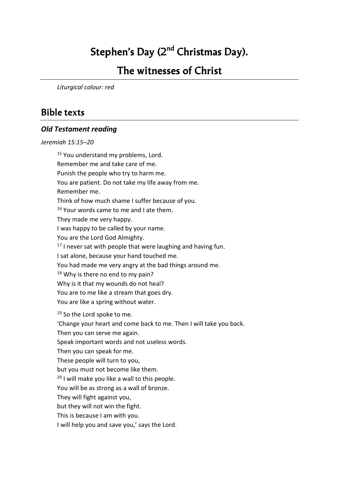# **Stephen's Day (2nd Christmas Day).**

### **The witnesses of Christ**

*Liturgical colour: red*

### **Bible texts**

#### *Old Testament reading*

*Jeremiah 15:15–20*

<sup>15</sup> You understand my problems, Lord. Remember me and take care of me. Punish the people who try to harm me. You are patient. Do not take my life away from me. Remember me. Think of how much shame I suffer because of you. <sup>16</sup> Your words came to me and I ate them. They made me very happy. I was happy to be called by your name. You are the Lord God Almighty.  $17$  I never sat with people that were laughing and having fun. I sat alone, because your hand touched me. You had made me very angry at the bad things around me.  $18$  Why is there no end to my pain? Why is it that my wounds do not heal? You are to me like a stream that goes dry. You are like a spring without water. <sup>19</sup> So the Lord spoke to me. 'Change your heart and come back to me. Then I will take you back. Then you can serve me again. Speak important words and not useless words. Then you can speak for me. These people will turn to you, but you must not become like them. <sup>20</sup> I will make you like a wall to this people. You will be as strong as a wall of bronze. They will fight against you, but they will not win the fight. This is because I am with you. I will help you and save you,' says the Lord.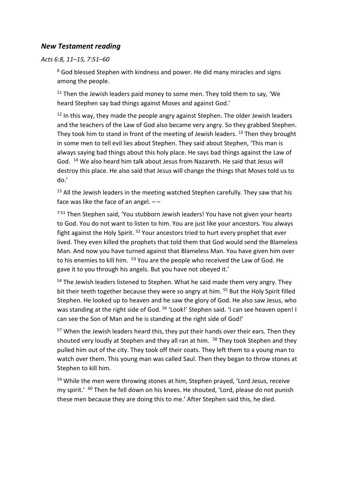### *New Testament reading*

*Acts 6:8, 11–15, 7:51–60*

<sup>8</sup> God blessed Stephen with kindness and power. He did many miracles and signs among the people.

 $11$  Then the Jewish leaders paid money to some men. They told them to say, 'We heard Stephen say bad things against Moses and against God.'

 $12$  In this way, they made the people angry against Stephen. The older Jewish leaders and the teachers of the Law of God also became very angry. So they grabbed Stephen. They took him to stand in front of the meeting of Jewish leaders. <sup>13</sup> Then they brought in some men to tell evil lies about Stephen. They said about Stephen, 'This man is always saying bad things about this holy place. He says bad things against the Law of God. <sup>14</sup> We also heard him talk about Jesus from Nazareth. He said that Jesus will destroy this place. He also said that Jesus will change the things that Moses told us to do.'

<sup>15</sup> All the Jewish leaders in the meeting watched Stephen carefully. They saw that his face was like the face of an angel.  $-$  –

<sup>7:51</sup> Then Stephen said, 'You stubborn Jewish leaders! You have not given your hearts to God. You do not want to listen to him. You are just like your ancestors. You always fight against the Holy Spirit. <sup>52</sup> Your ancestors tried to hurt every prophet that ever lived. They even killed the prophets that told them that God would send the Blameless Man. And now you have turned against that Blameless Man. You have given him over to his enemies to kill him. <sup>53</sup> You are the people who received the Law of God. He gave it to you through his angels. But you have not obeyed it.'

<sup>54</sup> The Jewish leaders listened to Stephen. What he said made them very angry. They bit their teeth together because they were so angry at him. <sup>55</sup> But the Holy Spirit filled Stephen. He looked up to heaven and he saw the glory of God. He also saw Jesus, who was standing at the right side of God. <sup>56</sup> 'Look!' Stephen said. 'I can see heaven open! I can see the Son of Man and he is standing at the right side of God!'

<sup>57</sup> When the Jewish leaders heard this, they put their hands over their ears. Then they shouted very loudly at Stephen and they all ran at him. <sup>58</sup> They took Stephen and they pulled him out of the city. They took off their coats. They left them to a young man to watch over them. This young man was called Saul. Then they began to throw stones at Stephen to kill him.

<sup>59</sup> While the men were throwing stones at him, Stephen prayed, 'Lord Jesus, receive my spirit.' <sup>60</sup> Then he fell down on his knees. He shouted, 'Lord, please do not punish these men because they are doing this to me.' After Stephen said this, he died.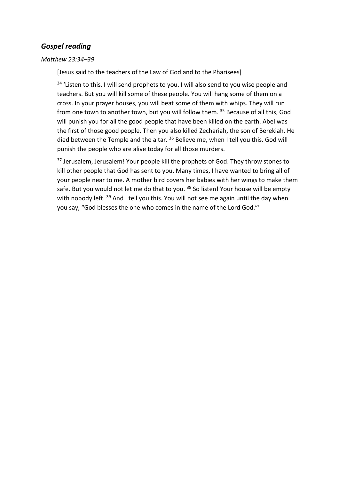### *Gospel reading*

#### *Matthew 23:34–39*

[Jesus said to the teachers of the Law of God and to the Pharisees]

<sup>34</sup> 'Listen to this. I will send prophets to you. I will also send to you wise people and teachers. But you will kill some of these people. You will hang some of them on a cross. In your prayer houses, you will beat some of them with whips. They will run from one town to another town, but you will follow them. <sup>35</sup> Because of all this, God will punish you for all the good people that have been killed on the earth. Abel was the first of those good people. Then you also killed Zechariah, the son of Berekiah. He died between the Temple and the altar. <sup>36</sup> Believe me, when I tell you this. God will punish the people who are alive today for all those murders.

<sup>37</sup> Jerusalem, Jerusalem! Your people kill the prophets of God. They throw stones to kill other people that God has sent to you. Many times, I have wanted to bring all of your people near to me. A mother bird covers her babies with her wings to make them safe. But you would not let me do that to you. <sup>38</sup> So listen! Your house will be empty with nobody left. <sup>39</sup> And I tell you this. You will not see me again until the day when you say, "God blesses the one who comes in the name of the Lord God."'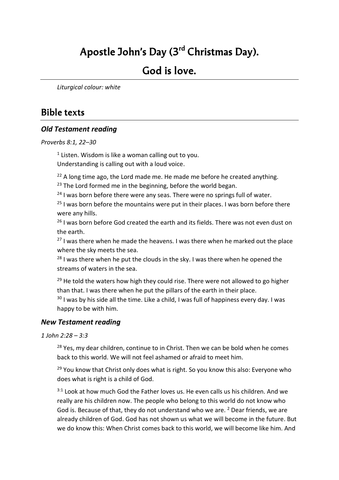# **Apostle John's Day (3rd Christmas Day).**

### **God is love.**

*Liturgical colour: white*

### **Bible texts**

### *Old Testament reading*

*Proverbs 8:1, 22–30*

<sup>1</sup> Listen. Wisdom is like a woman calling out to you. Understanding is calling out with a loud voice.

 $22$  A long time ago, the Lord made me. He made me before he created anything.

 $23$  The Lord formed me in the beginning, before the world began.

 $24$  I was born before there were any seas. There were no springs full of water.

 $25$  I was born before the mountains were put in their places. I was born before there were any hills.

<sup>26</sup> I was born before God created the earth and its fields. There was not even dust on the earth.

 $27$  I was there when he made the heavens. I was there when he marked out the place where the sky meets the sea.

 $28$  I was there when he put the clouds in the sky. I was there when he opened the streams of waters in the sea.

<sup>29</sup> He told the waters how high they could rise. There were not allowed to go higher than that. I was there when he put the pillars of the earth in their place.

 $30$  I was by his side all the time. Like a child, I was full of happiness every day. I was happy to be with him.

### *New Testament reading*

*1 John 2:28 – 3:3*

 $28$  Yes, my dear children, continue to in Christ. Then we can be bold when he comes back to this world. We will not feel ashamed or afraid to meet him.

<sup>29</sup> You know that Christ only does what is right. So you know this also: Everyone who does what is right is a child of God.

 $3:1$  Look at how much God the Father loves us. He even calls us his children. And we really are his children now. The people who belong to this world do not know who God is. Because of that, they do not understand who we are. <sup>2</sup> Dear friends, we are already children of God. God has not shown us what we will become in the future. But we do know this: When Christ comes back to this world, we will become like him. And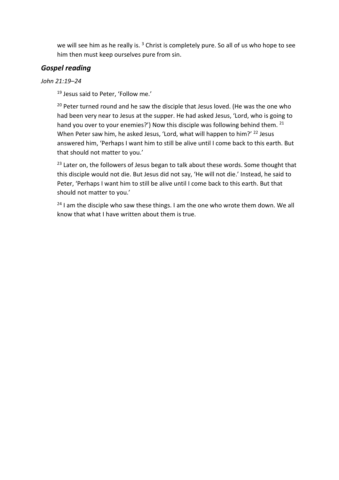we will see him as he really is.<sup>3</sup> Christ is completely pure. So all of us who hope to see him then must keep ourselves pure from sin.

### *Gospel reading*

### *John 21:19–24*

<sup>19</sup> Jesus said to Peter, 'Follow me.'

<sup>20</sup> Peter turned round and he saw the disciple that Jesus loved. (He was the one who had been very near to Jesus at the supper. He had asked Jesus, 'Lord, who is going to hand you over to your enemies?') Now this disciple was following behind them. <sup>21</sup> When Peter saw him, he asked Jesus, 'Lord, what will happen to him?' <sup>22</sup> Jesus answered him, 'Perhaps I want him to still be alive until I come back to this earth. But that should not matter to you.'

<sup>23</sup> Later on, the followers of Jesus began to talk about these words. Some thought that this disciple would not die. But Jesus did not say, 'He will not die.' Instead, he said to Peter, 'Perhaps I want him to still be alive until I come back to this earth. But that should not matter to you.'

 $24$  I am the disciple who saw these things. I am the one who wrote them down. We all know that what I have written about them is true.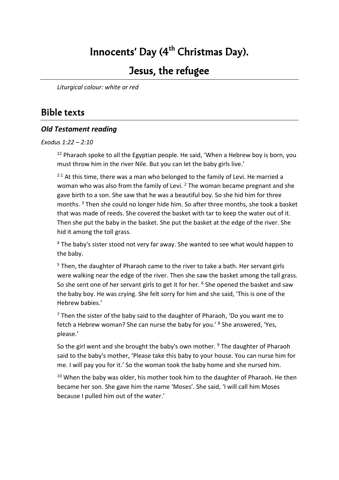# **Innocents' Day (4th Christmas Day).**

### **Jesus, the refugee**

*Liturgical colour: white or red*

### **Bible texts**

### *Old Testament reading*

*Exodus 1:22 – 2:10*

<sup>22</sup> Pharaoh spoke to all the Egyptian people. He said, 'When a Hebrew boy is born, you must throw him in the river Nile. But you can let the baby girls live.'

 $2:1$  At this time, there was a man who belonged to the family of Levi. He married a woman who was also from the family of Levi.<sup>2</sup> The woman became pregnant and she gave birth to a son. She saw that he was a beautiful boy. So she hid him for three months. <sup>3</sup> Then she could no longer hide him. So after three months, she took a basket that was made of reeds. She covered the basket with tar to keep the water out of it. Then she put the baby in the basket. She put the basket at the edge of the river. She hid it among the toll grass.

<sup>4</sup> The baby's sister stood not very far away. She wanted to see what would happen to the baby.

<sup>5</sup> Then, the daughter of Pharaoh came to the river to take a bath. Her servant girls were walking near the edge of the river. Then she saw the basket among the tall grass. So she sent one of her servant girls to get it for her. <sup>6</sup> She opened the basket and saw the baby boy. He was crying. She felt sorry for him and she said, 'This is one of the Hebrew babies.'

 $7$  Then the sister of the baby said to the daughter of Pharaoh, 'Do you want me to fetch a Hebrew woman? She can nurse the baby for you.' <sup>8</sup> She answered, 'Yes, please.'

So the girl went and she brought the baby's own mother.  $9$  The daughter of Pharaoh said to the baby's mother, 'Please take this baby to your house. You can nurse him for me. I will pay you for it.' So the woman took the baby home and she nursed him.

 $10$  When the baby was older, his mother took him to the daughter of Pharaoh. He then became her son. She gave him the name 'Moses'. She said, 'I will call him Moses because I pulled him out of the water.'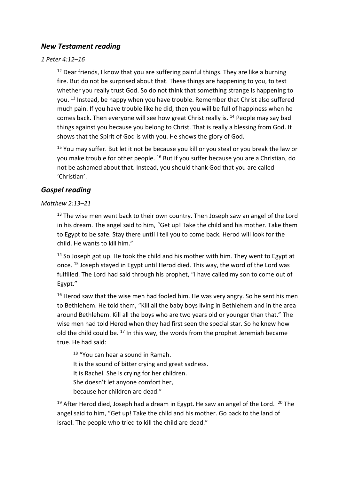### *New Testament reading*

#### *1 Peter 4:12–16*

 $12$  Dear friends, I know that you are suffering painful things. They are like a burning fire. But do not be surprised about that. These things are happening to you, to test whether you really trust God. So do not think that something strange is happening to you. <sup>13</sup> Instead, be happy when you have trouble. Remember that Christ also suffered much pain. If you have trouble like he did, then you will be full of happiness when he comes back. Then everyone will see how great Christ really is. <sup>14</sup> People may say bad things against you because you belong to Christ. That is really a blessing from God. It shows that the Spirit of God is with you. He shows the glory of God.

<sup>15</sup> You may suffer. But let it not be because you kill or you steal or you break the law or you make trouble for other people. <sup>16</sup> But if you suffer because you are a Christian, do not be ashamed about that. Instead, you should thank God that you are called 'Christian'.

### *Gospel reading*

#### *Matthew 2:13–21*

 $13$  The wise men went back to their own country. Then Joseph saw an angel of the Lord in his dream. The angel said to him, "Get up! Take the child and his mother. Take them to Egypt to be safe. Stay there until I tell you to come back. Herod will look for the child. He wants to kill him."

 $14$  So Joseph got up. He took the child and his mother with him. They went to Egypt at once. <sup>15</sup> Joseph stayed in Egypt until Herod died. This way, the word of the Lord was fulfilled. The Lord had said through his prophet, "I have called my son to come out of Egypt."

 $16$  Herod saw that the wise men had fooled him. He was very angry. So he sent his men to Bethlehem. He told them, "Kill all the baby boys living in Bethlehem and in the area around Bethlehem. Kill all the boys who are two years old or younger than that." The wise men had told Herod when they had first seen the special star. So he knew how old the child could be.  $17$  In this way, the words from the prophet Jeremiah became true. He had said:

<sup>18</sup> "You can hear a sound in Ramah. It is the sound of bitter crying and great sadness. It is Rachel. She is crying for her children. She doesn't let anyone comfort her, because her children are dead."

<sup>19</sup> After Herod died, Joseph had a dream in Egypt. He saw an angel of the Lord.  $20$  The angel said to him, "Get up! Take the child and his mother. Go back to the land of Israel. The people who tried to kill the child are dead."